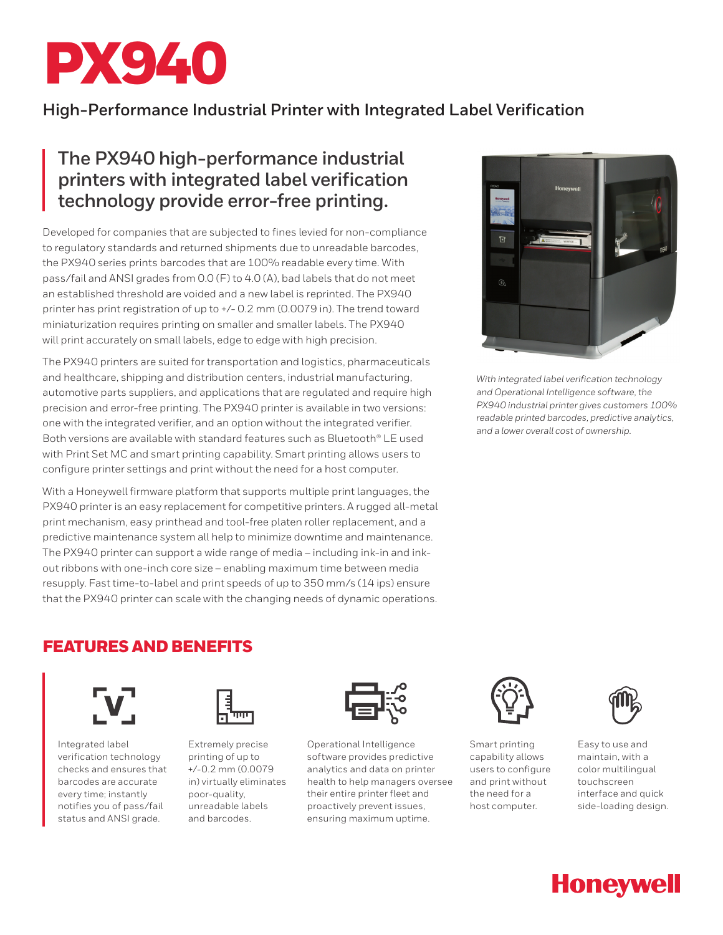

## **High-Performance Industrial Printer with Integrated Label Verification**

# **The PX940 high-performance industrial printers with integrated label verification technology provide error-free printing.**

Developed for companies that are subjected to fines levied for non-compliance to regulatory standards and returned shipments due to unreadable barcodes, the PX940 series prints barcodes that are 100% readable every time. With pass/fail and ANSI grades from 0.0 (F) to 4.0 (A), bad labels that do not meet an established threshold are voided and a new label is reprinted. The PX940 printer has print registration of up to +/- 0.2 mm (0.0079 in). The trend toward miniaturization requires printing on smaller and smaller labels. The PX940 will print accurately on small labels, edge to edge with high precision.

The PX940 printers are suited for transportation and logistics, pharmaceuticals and healthcare, shipping and distribution centers, industrial manufacturing, automotive parts suppliers, and applications that are regulated and require high precision and error-free printing. The PX940 printer is available in two versions: one with the integrated verifier, and an option without the integrated verifier. Both versions are available with standard features such as Bluetooth® LE used with Print Set MC and smart printing capability. Smart printing allows users to configure printer settings and print without the need for a host computer.

With a Honeywell firmware platform that supports multiple print languages, the PX940 printer is an easy replacement for competitive printers. A rugged all-metal print mechanism, easy printhead and tool-free platen roller replacement, and a predictive maintenance system all help to minimize downtime and maintenance. The PX940 printer can support a wide range of media – including ink-in and inkout ribbons with one-inch core size – enabling maximum time between media resupply. Fast time-to-label and print speeds of up to 350 mm/s (14 ips) ensure that the PX940 printer can scale with the changing needs of dynamic operations.



*With integrated label verification technology and Operational Intelligence software, the PX940 industrial printer gives customers 100% readable printed barcodes, predictive analytics, and a lower overall cost of ownership.*

### FEATURES AND BENEFITS



Integrated label verification technology checks and ensures that barcodes are accurate every time; instantly notifies you of pass/fail status and ANSI grade.



Extremely precise printing of up to +/-0.2 mm (0.0079 in) virtually eliminates poor-quality, unreadable labels and barcodes.



Operational Intelligence software provides predictive analytics and data on printer health to help managers oversee their entire printer fleet and proactively prevent issues, ensuring maximum uptime.



Smart printing capability allows users to configure and print without the need for a host computer.



Easy to use and maintain, with a color multilingual touchscreen interface and quick side-loading design.

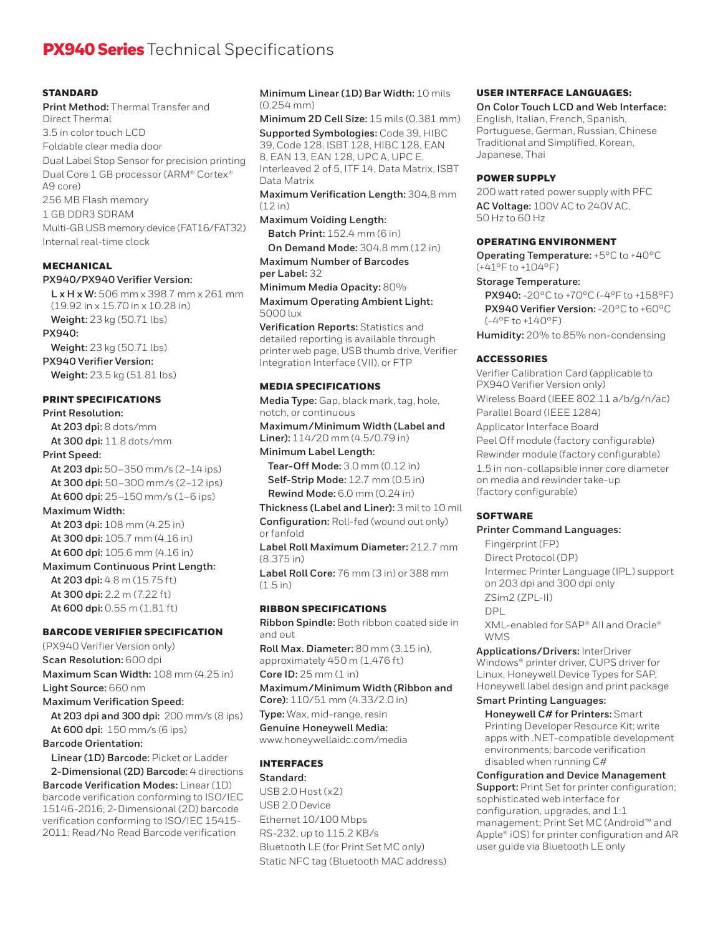# **PX940 Series** Technical Specifications

#### **STANDARD**

**Print Method:** Thermal Transfer and Direct Thermal 3.5 in color touch LCD Foldable clear media door Dual Label Stop Sensor for precision printing Dual Core 1 GB processor (ARM® Cortex® A9 core) 256 MB Flash memory 1 GB DDR3 SDRAM Multi-GB USB memory device (FAT16/FAT32) Internal real-time clock

#### **MECHANICAL**

#### **PX940/PX940 Verifier Version:**

**L x H x W:** 506 mm x 398.7 mm x 261 mm (19.92 in x 15.70 in x 10.28 in) **Weight:** 23 kg (50.71 lbs) **PX940:**

**Weight:** 23 kg (50.71 lbs)

### **PX940 Verifier Version:**

**Weight:** 23.5 kg (51.81 lbs)

#### PRINT SPECIFICATIONS

**Print Resolution: At 203 dpi:** 8 dots/mm **At 300 dpi:** 11.8 dots/mm

#### **Print Speed:**

**At 203 dpi:** 50–350 mm/s (2–14 ips) **At 300 dpi:** 50–300 mm/s (2–12 ips) **At 600 dpi:** 25–150 mm/s (1–6 ips)

#### **Maximum Width:**

**At 203 dpi:** 108 mm (4.25 in) **At 300 dpi:** 105.7 mm (4.16 in) **At 600 dpi:** 105.6 mm (4.16 in)

#### **Maximum Continuous Print Length:**

**At 203 dpi:** 4.8 m (15.75 ft) **At 300 dpi:** 2.2 m (7.22 ft) **At 600 dpi:** 0.55 m (1.81 ft)

### BARCODE VERIFIER SPECIFICATION

(PX940 Verifier Version only) **Scan Resolution:** 600 dpi **Maximum Scan Width:** 108 mm (4.25 in) **Light Source:** 660 nm **Maximum Verification Speed: At 203 dpi and 300 dpi:** 200 mm/s (8 ips)

**At 600 dpi:** 150 mm/s (6 ips)

#### **Barcode Orientation:**

**Linear (1D) Barcode:** Picket or Ladder **2-Dimensional (2D) Barcode:** 4 directions **Barcode Verification Modes:** Linear (1D) barcode verification conforming to ISO/IEC 15146-2016; 2-Dimensional (2D) barcode verification conforming to ISO/IEC 15415- 2011; Read/No Read Barcode verification

**Minimum Linear (1D) Bar Width:** 10 mils (0.254 mm)

**Minimum 2D Cell Size:** 15 mils (0.381 mm) **Supported Symbologies:** Code 39, HIBC 39, Code 128, ISBT 128, HIBC 128, EAN 8, EAN 13, EAN 128, UPC A, UPC E, Interleaved 2 of 5, ITF 14, Data Matrix, ISBT Data Matrix

**Maximum Verification Length:** 304.8 mm (12 in)

**Maximum Voiding Length:**

**Batch Print:** 152.4 mm (6 in)

**On Demand Mode:** 304.8 mm (12 in) **Maximum Number of Barcodes** 

**per Label:** 32

**Minimum Media Opacity:** 80% **Maximum Operating Ambient Light:** 5000 lux

**Verification Reports:** Statistics and detailed reporting is available through printer web page, USB thumb drive, Verifier Integration Interface (VII), or FTP

#### MEDIA SPECIFICATIONS

**Media Type:** Gap, black mark, tag, hole, notch, or continuous

**Maximum/Minimum Width (Label and Liner):** 114/20 mm (4.5/0.79 in)

**Minimum Label Length: Tear-Off Mode:** 3.0 mm (0.12 in) **Self-Strip Mode:** 12.7 mm (0.5 in) **Rewind Mode:** 6.0 mm (0.24 in)

**Thickness (Label and Liner):** 3 mil to 10 mil **Configuration:** Roll-fed (wound out only) or fanfold

**Label Roll Maximum Diameter:** 212.7 mm (8.375 in)

**Label Roll Core:** 76 mm (3 in) or 388 mm (1.5 in)

#### RIBBON SPECIFICATIONS

**Ribbon Spindle:** Both ribbon coated side in and out

**Roll Max. Diameter:** 80 mm (3.15 in), approximately 450 m (1,476 ft)

**Core ID:** 25 mm (1 in)

**Maximum/Minimum Width (Ribbon and Core):** 110/51 mm (4.33/2.0 in)

**Type:** Wax, mid-range, resin

**Genuine Honeywell Media:** www.honeywellaidc.com/media

#### INTERFACES

**Standard:** USB 2.0 Host (x2) USB 2.0 Device Ethernet 10/100 Mbps RS-232, up to 115.2 KB/s Bluetooth LE (for Print Set MC only) Static NFC tag (Bluetooth MAC address)

#### USER INTERFACE LANGUAGES:

**On Color Touch LCD and Web Interface:** English, Italian, French, Spanish, Portuguese, German, Russian, Chinese Traditional and Simplified, Korean, Japanese, Thai

#### POWER SUPPLY

200 watt rated power supply with PFC **AC Voltage:** 100V AC to 240V AC, 50 Hz to 60 Hz

#### OPERATING ENVIRONMENT

**Operating Temperature:** +5°C to +40°C (+41°F to +104°F)

#### **Storage Temperature:**

**PX940:** -20°C to +70°C (-4°F to +158°F) **PX940 Verifier Version:** -20°C to +60°C (-4°F to +140°F)

**Humidity:** 20% to 85% non-condensing

#### ACCESSORIES

Verifier Calibration Card (applicable to PX940 Verifier Version only) Wireless Board (IEEE 802.11 a/b/g/n/ac) Parallel Board (IEEE 1284) Applicator Interface Board Peel Off module (factory configurable) Rewinder module (factory configurable) 1.5 in non-collapsible inner core diameter on media and rewinder take-up (factory configurable)

#### SOFTWARE

**Printer Command Languages:**

Fingerprint (FP) Direct Protocol (DP) Intermec Printer Language (IPL) support on 203 dpi and 300 dpi only ZSim2 (ZPL-II) DPL XML-enabled for SAP® AII and Oracle® **WMS** 

**Applications/Drivers:** InterDriver Windows® printer driver, CUPS driver for Linux, Honeywell Device Types for SAP, Honeywell label design and print package

#### **Smart Printing Languages:**

**Honeywell C# for Printers:** Smart Printing Developer Resource Kit; write apps with .NET-compatible development environments; barcode verification disabled when running C#

**Configuration and Device Management Support:** Print Set for printer configuration; sophisticated web interface for configuration, upgrades, and 1:1 management; Print Set MC (Android™ and Apple® iOS) for printer configuration and AR user guide via Bluetooth LE only